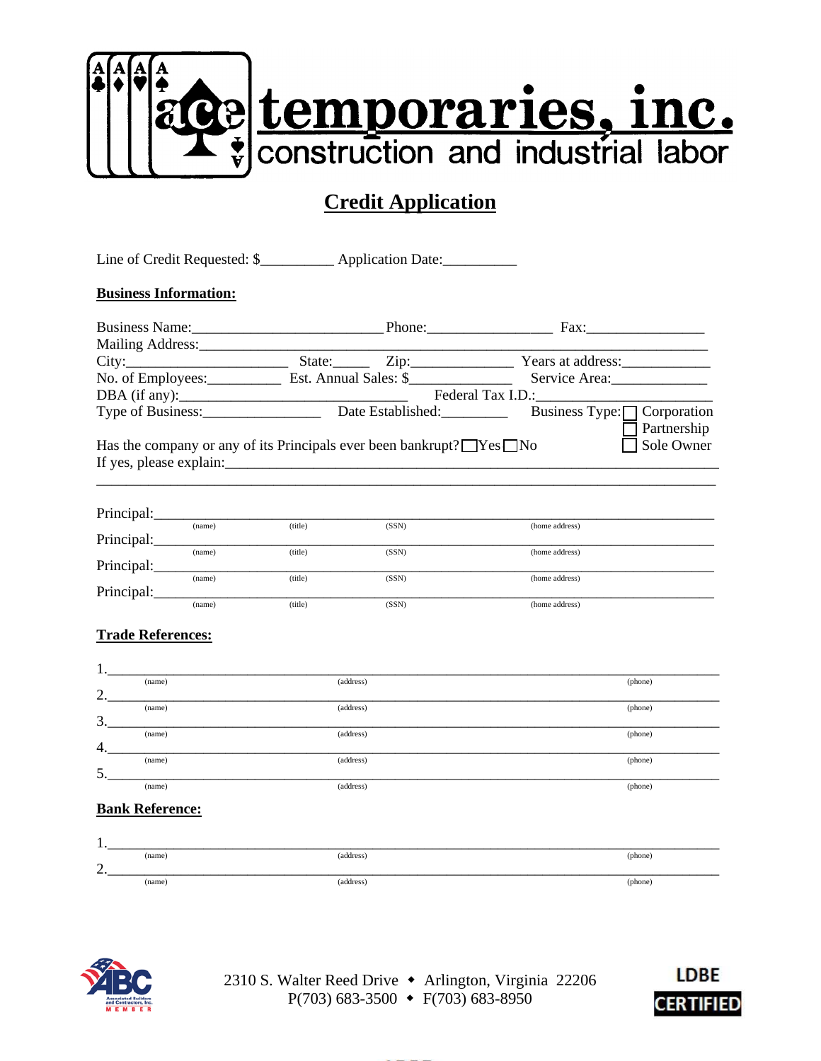

## **Credit Application**

|                                         |                 |         | Line of Credit Requested: \$_____________ Application Date:__________                                        |                                                  |                           |  |
|-----------------------------------------|-----------------|---------|--------------------------------------------------------------------------------------------------------------|--------------------------------------------------|---------------------------|--|
| <b>Business Information:</b>            |                 |         |                                                                                                              |                                                  |                           |  |
|                                         |                 |         |                                                                                                              |                                                  |                           |  |
|                                         |                 |         |                                                                                                              |                                                  |                           |  |
|                                         |                 |         |                                                                                                              | City: City: State: City: City: Years at address: |                           |  |
| No. of Employees: Est. Annual Sales: \$ |                 |         |                                                                                                              |                                                  |                           |  |
|                                         |                 |         |                                                                                                              | Federal Tax I.D.:                                |                           |  |
| Type of Business: Date Established:     |                 |         |                                                                                                              | Business Type: Corporation                       |                           |  |
|                                         |                 |         | Has the company or any of its Principals ever been bankrupt? Nes No<br>If yes, please explain: $\frac{1}{2}$ |                                                  | Partnership<br>Sole Owner |  |
| Principal:                              | $(\text{name})$ | (title) | (SSN)                                                                                                        | (home address)                                   |                           |  |
| Principal:                              |                 |         |                                                                                                              |                                                  |                           |  |
| Principal:                              | (name)          | (title) | (SSN)                                                                                                        | (home address)                                   |                           |  |
|                                         | (name)          | (title) | (SSN)                                                                                                        | (home address)                                   |                           |  |
| Principal:                              | (name)          | (title) | (SSN)                                                                                                        | (home address)                                   |                           |  |
|                                         |                 |         |                                                                                                              |                                                  |                           |  |
| <b>Trade References:</b>                |                 |         |                                                                                                              |                                                  |                           |  |
|                                         |                 |         |                                                                                                              |                                                  |                           |  |
|                                         |                 |         |                                                                                                              |                                                  |                           |  |
| (name)                                  |                 |         | (address)                                                                                                    | (phone)                                          |                           |  |
| (name)                                  |                 |         |                                                                                                              |                                                  |                           |  |
|                                         |                 |         | (address)                                                                                                    | (phone)                                          |                           |  |
| (name)                                  |                 |         | (address)                                                                                                    | (phone)                                          |                           |  |
|                                         |                 |         |                                                                                                              |                                                  |                           |  |
| (name)                                  |                 |         | (address)                                                                                                    | (phone)                                          |                           |  |
| (name)                                  |                 |         | (address)                                                                                                    | (phone)                                          |                           |  |
|                                         |                 |         |                                                                                                              |                                                  |                           |  |
| <b>Bank Reference:</b>                  |                 |         |                                                                                                              |                                                  |                           |  |
|                                         |                 |         |                                                                                                              |                                                  |                           |  |
| (name)                                  |                 |         | (address)                                                                                                    | (phone)                                          |                           |  |
|                                         |                 |         |                                                                                                              |                                                  |                           |  |
| (name)                                  |                 |         | (address)                                                                                                    | (phone)                                          |                           |  |
|                                         |                 |         |                                                                                                              |                                                  |                           |  |



2310 S. Walter Reed Drive • Arlington, Virginia 22206  $P(703) 683-3500 \rightarrow F(703) 683-8950$